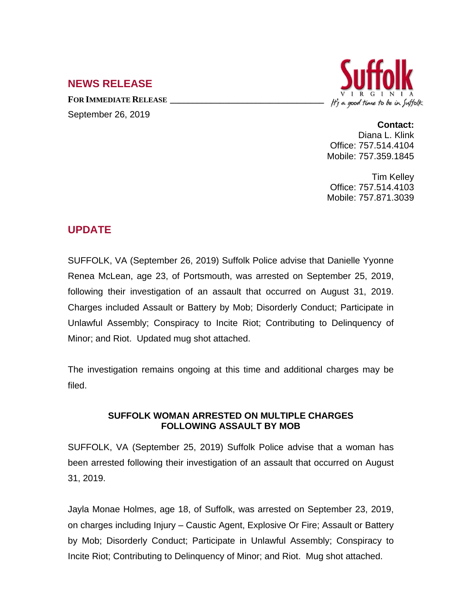## **NEWS RELEASE**

**FOR IMMEDIATE RELEASE \_\_\_\_\_\_\_\_\_\_\_\_\_\_\_\_\_\_\_\_\_\_\_\_\_\_\_\_\_\_\_\_\_\_** September 26, 2019



## **Contact:**

Diana L. Klink Office: 757.514.4104 Mobile: 757.359.1845

Tim Kelley Office: 757.514.4103 Mobile: 757.871.3039

## **UPDATE**

SUFFOLK, VA (September 26, 2019) Suffolk Police advise that Danielle Yyonne Renea McLean, age 23, of Portsmouth, was arrested on September 25, 2019, following their investigation of an assault that occurred on August 31, 2019. Charges included Assault or Battery by Mob; Disorderly Conduct; Participate in Unlawful Assembly; Conspiracy to Incite Riot; Contributing to Delinquency of Minor; and Riot. Updated mug shot attached.

The investigation remains ongoing at this time and additional charges may be filed.

## **SUFFOLK WOMAN ARRESTED ON MULTIPLE CHARGES FOLLOWING ASSAULT BY MOB**

SUFFOLK, VA (September 25, 2019) Suffolk Police advise that a woman has been arrested following their investigation of an assault that occurred on August 31, 2019.

Jayla Monae Holmes, age 18, of Suffolk, was arrested on September 23, 2019, on charges including Injury – Caustic Agent, Explosive Or Fire; Assault or Battery by Mob; Disorderly Conduct; Participate in Unlawful Assembly; Conspiracy to Incite Riot; Contributing to Delinquency of Minor; and Riot. Mug shot attached.